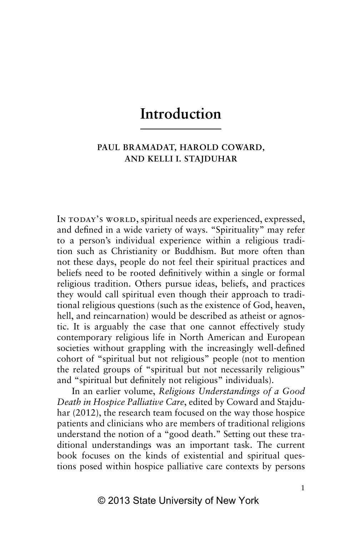# **Introduction**

## PAUL BRAMADAT, HAROLD COWARD, **and KELLI I. STAJDUHAR**

In today's world, spiritual needs are experienced, expressed, and defined in a wide variety of ways. "Spirituality" may refer to a person's individual experience within a religious tradition such as Christianity or Buddhism. But more often than not these days, people do not feel their spiritual practices and beliefs need to be rooted definitively within a single or formal religious tradition. Others pursue ideas, beliefs, and practices they would call spiritual even though their approach to traditional religious questions (such as the existence of God, heaven, hell, and reincarnation) would be described as atheist or agnostic. It is arguably the case that one cannot effectively study contemporary religious life in North American and European societies without grappling with the increasingly well-defined cohort of "spiritual but not religious" people (not to mention the related groups of "spiritual but not necessarily religious" and "spiritual but definitely not religious" individuals).

n an earlier volume, *Religious Understandings of a Good*  Death in Hospice Palliative Care, edited by Coward and Stajduhar (2012), the research team focused on the way those hospice patients and clinicians who are members of traditional religions understand the notion of a "good death." Setting out these traditional understandings was an important task. The current book focuses on the kinds of existential and spiritual questions posed within hospice palliative care contexts by persons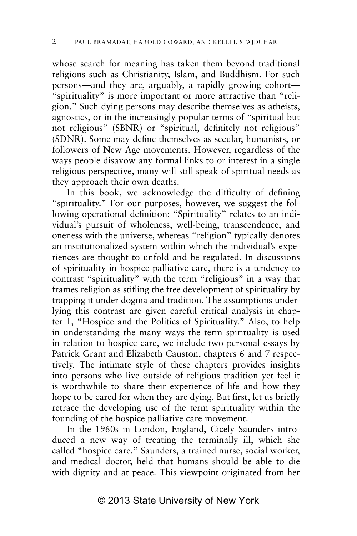whose search for meaning has taken them beyond traditional religions such as Christianity, Islam, and Buddhism. For such persons—and they are, arguably, a rapidly growing cohort— "spirituality" is more important or more attractive than "religion." Such dying persons may describe themselves as atheists, agnostics, or in the increasingly popular terms of "spiritual but not religious" (SBNR) or "spiritual, definitely not religious" (SDNR). Some may define themselves as secular, humanists, or followers of New Age movements. However, regardless of the ways people disavow any formal links to or interest in a single religious perspective, many will still speak of spiritual needs as they approach their own deaths.

n this book, we acknowledge the difficulty of defining "spirituality." For our purposes, however, we suggest the following operational definition: "Spirituality" relates to an individual's pursuit of wholeness, well-being, transcendence, and oneness with the universe, whereas "religion" typically denotes an institutionalized system within which the individual's experiences are thought to unfold and be regulated. In discussions of spirituality in hospice palliative care, there is a tendency to contrast "spirituality" with the term "religious" in a way that frames religion as stifling the free development of spirituality by trapping it under dogma and tradition. The assumptions underlying this contrast are given careful critical analysis in chapter 1, "Hospice and the Politics of Spirituality." Also, to help in understanding the many ways the term spirituality is used in relation to hospice care, we include two personal essays by Patrick Grant and Elizabeth Causton, chapters 6 and 7 respectively. The intimate style of these chapters provides insights into persons who live outside of religious tradition yet feel it is worthwhile to share their experience of life and how they hope to be cared for when they are dying. But first, let us briefly retrace the developing use of the term spirituality within the founding of the hospice palliative care movement.

In the 1960s in London, England, Cicely Saunders introduced a new way of treating the terminally ill, which she called "hospice care." Saunders, a trained nurse, social worker, and medical doctor, held that humans should be able to die with dignity and at peace. This viewpoint originated from her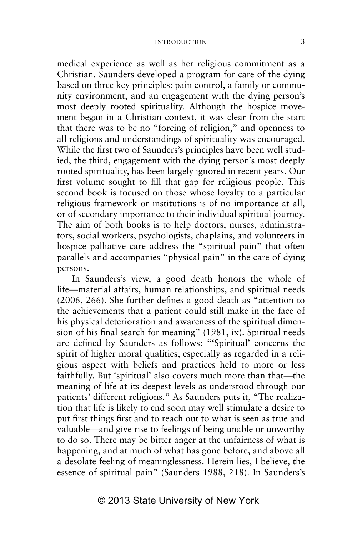medical experience as well as her religious commitment as a hristian. Saunders developed a program for care of the dying based on three key principles: pain control, a family or community environment, and an engagement with the dying person's most deeply rooted spirituality. Although the hospice movement began in a Christian context, it was clear from the start that there was to be no "forcing of religion," and openness to all religions and understandings of spirituality was encouraged. While the first two of Saunders's principles have been well studied, the third, engagement with the dying person's most deeply rooted spirituality, has been largely ignored in recent years. Our first volume sought to fill that gap for religious people. This second book is focused on those whose loyalty to a particular religious framework or institutions is of no importance at all, or of secondary importance to their individual spiritual journey. The aim of both books is to help doctors, nurses, administrators, social workers, psychologists, chaplains, and volunteers in hospice palliative care address the "spiritual pain" that often parallels and accompanies "physical pain" in the care of dying persons.

n Saunders's view, a good death honors the whole of life—material affairs, human relationships, and spiritual needs (2006, 266). She further defines a good death as "attention to the achievements that a patient could still make in the face of his physical deterioration and awareness of the spiritual dimension of his final search for meaning" (1981, ix). Spiritual needs are defined by Saunders as follows: "'Spiritual' concerns the spirit of higher moral qualities, especially as regarded in a religious aspect with beliefs and practices held to more or less faithfully. But 'spiritual' also covers much more than that—the meaning of life at its deepest levels as understood through our patients' different religions." As Saunders puts it, "The realization that life is likely to end soon may well stimulate a desire to put first things first and to reach out to what is seen as true and valuable—and give rise to feelings of being unable or unworthy to do so. There may be bitter anger at the unfairness of what is happening, and at much of what has gone before, and above all a desolate feeling of meaninglessness. Herein lies, I believe, the essence of spiritual pain" (Saunders 1988, 218). In Saunders's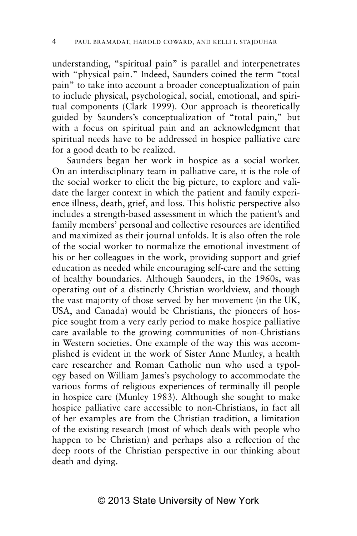understanding, "spiritual pain" is parallel and interpenetrates with "physical pain." Indeed, Saunders coined the term "total pain" to take into account a broader conceptualization of pain to include physical, psychological, social, emotional, and spiritual components (Clark 1999). Our approach is theoretically guided by Saunders's conceptualization of "total pain," but with a focus on spiritual pain and an acknowledgment that spiritual needs have to be addressed in hospice palliative care for a good death to be realized.

Saunders began her work in hospice as a social worker. n an interdisciplinary team in palliative care, it is the role of the social worker to elicit the big picture, to explore and validate the larger context in which the patient and family experience illness, death, grief, and loss. This holistic perspective also includes a strength-based assessment in which the patient's and family members' personal and collective resources are identified and maximized as their journal unfolds. It is also often the role of the social worker to normalize the emotional investment of his or her colleagues in the work, providing support and grief education as needed while encouraging self-care and the setting of healthy boundaries. Although Saunders, in the 1960s, was operating out of a distinctly Christian worldview, and though the vast majority of those served by her movement (in the UK, USA, and Canada) would be Christians, the pioneers of hospice sought from a very early period to make hospice palliative care available to the growing communities of non-Christians in Western societies. One example of the way this was accomplished is evident in the work of Sister Anne Munley, a health care researcher and Roman Catholic nun who used a typology based on William James's psychology to accommodate the various forms of religious experiences of terminally ill people in hospice care (Munley 1983). Although she sought to make hospice palliative care accessible to non-Christians, in fact all of her examples are from the Christian tradition, a limitation of the existing research (most of which deals with people who happen to be Christian) and perhaps also a reflection of the deep roots of the Christian perspective in our thinking about death and dying.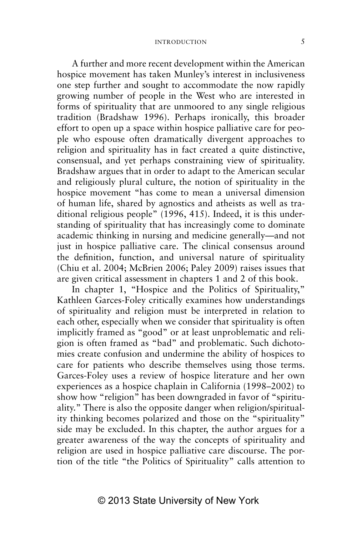#### INTRODUCTION 5

A further and more recent development within the American hospice movement has taken Munley's interest in inclusiveness one step further and sought to accommodate the now rapidly growing number of people in the West who are interested in forms of spirituality that are unmoored to any single religious tradition (Bradshaw 1996). Perhaps ironically, this broader effort to open up a space within hospice palliative care for people who espouse often dramatically divergent approaches to religion and spirituality has in fact created a quite distinctive, consensual, and yet perhaps constraining view of spirituality. Bradshaw argues that in order to adapt to the American secular and religiously plural culture, the notion of spirituality in the hospice movement "has come to mean a universal dimension of human life, shared by agnostics and atheists as well as traditional religious people" (1996, 415). Indeed, it is this understanding of spirituality that has increasingly come to dominate academic thinking in nursing and medicine generally—and not just in hospice palliative care. The clinical consensus around the definition, function, and universal nature of spirituality (Chiu et al. 2004; McBrien 2006; Paley 2009) raises issues that are given critical assessment in chapters 1 and 2 of this book.

In chapter 1, "Hospice and the Politics of Spirituality," Kathleen Garces-Foley critically examines how understandings of spirituality and religion must be interpreted in relation to each other, especially when we consider that spirituality is often implicitly framed as "good" or at least unproblematic and religion is often framed as "bad" and problematic. Such dichotomies create confusion and undermine the ability of hospices to care for patients who describe themselves using those terms. Garces-Foley uses a review of hospice literature and her own experiences as a hospice chaplain in California (1998–2002) to show how "religion" has been downgraded in favor of "spirituality." There is also the opposite danger when religion/spirituality thinking becomes polarized and those on the "spirituality" side may be excluded. In this chapter, the author argues for a greater awareness of the way the concepts of spirituality and religion are used in hospice palliative care discourse. The portion of the title "the Politics of Spirituality" calls attention to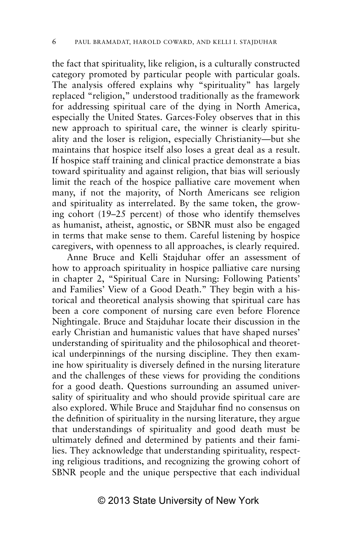the fact that spirituality, like religion, is a culturally constructed category promoted by particular people with particular goals. he analysis offered explains why "spirituality" has largely replaced "religion," understood traditionally as the framework for addressing spiritual care of the dying in North America, especially the United States. Garces-Foley observes that in this new approach to spiritual care, the winner is clearly spirituality and the loser is religion, especially Christianity—but she maintains that hospice itself also loses a great deal as a result. f hospice staff training and clinical practice demonstrate a bias toward spirituality and against religion, that bias will seriously limit the reach of the hospice palliative care movement when many, if not the majority, of North Americans see religion and spirituality as interrelated. By the same token, the growing cohort (19–25 percent) of those who identify themselves as humanist, atheist, agnostic, or SBNR must also be engaged in terms that make sense to them. Careful listening by hospice caregivers, with openness to all approaches, is clearly required.

Anne Bruce and Kelli Stajduhar offer an assessment of how to approach spirituality in hospice palliative care nursing in chapter 2, "Spiritual Care in Nursing: Following Patients' and Families' View of a Good Death." They begin with a historical and theoretical analysis showing that spiritual care has been a core component of nursing care even before Florence Nightingale. Bruce and Stajduhar locate their discussion in the early Christian and humanistic values that have shaped nurses' understanding of spirituality and the philosophical and theoretical underpinnings of the nursing discipline. They then examine how spirituality is diversely defined in the nursing literature and the challenges of these views for providing the conditions for a good death. Questions surrounding an assumed universality of spirituality and who should provide spiritual care are also explored. While Bruce and Stajduhar find no consensus on the definition of spirituality in the nursing literature, they argue that understandings of spirituality and good death must be ultimately defined and determined by patients and their families. They acknowledge that understanding spirituality, respecting religious traditions, and recognizing the growing cohort of SBNR people and the unique perspective that each individual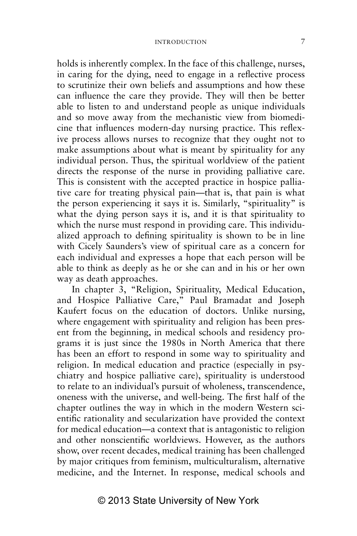holds is inherently complex. In the face of this challenge, nurses, in caring for the dying, need to engage in a reflective process to scrutinize their own beliefs and assumptions and how these can influence the care they provide. They will then be better able to listen to and understand people as unique individuals and so move away from the mechanistic view from biomedicine that influences modern-day nursing practice. This reflexive process allows nurses to recognize that they ought not to make assumptions about what is meant by spirituality for any individual person. Thus, the spiritual worldview of the patient directs the response of the nurse in providing palliative care. This is consistent with the accepted practice in hospice palliative care for treating physical pain—that is, that pain is what the person experiencing it says it is. Similarly, "spirituality" is what the dying person says it is, and it is that spirituality to which the nurse must respond in providing care. This individualized approach to defining spirituality is shown to be in line with Cicely Saunders's view of spiritual care as a concern for each individual and expresses a hope that each person will be able to think as deeply as he or she can and in his or her own way as death approaches.

In chapter 3, "Religion, Spirituality, Medical Education, and Hospice Palliative Care," Paul Bramadat and Joseph Kaufert focus on the education of doctors. Unlike nursing, where engagement with spirituality and religion has been present from the beginning, in medical schools and residency programs it is just since the 1980s in North America that there has been an effort to respond in some way to spirituality and religion. In medical education and practice (especially in psychiatry and hospice palliative care), spirituality is understood to relate to an individual's pursuit of wholeness, transcendence, oneness with the universe, and well-being. The first half of the chapter outlines the way in which in the modern Western scientific rationality and secularization have provided the context for medical education—a context that is antagonistic to religion and other nonscientific worldviews. However, as the authors show, over recent decades, medical training has been challenged by major critiques from feminism, multiculturalism, alternative medicine, and the Internet. In response, medical schools and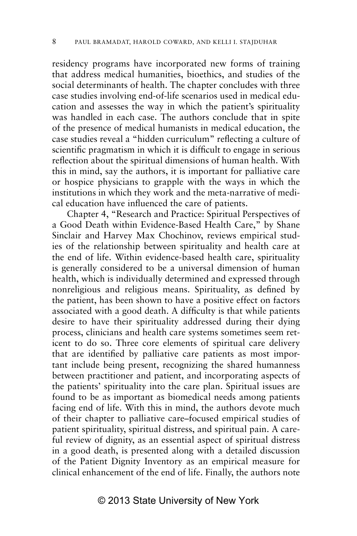residency programs have incorporated new forms of training that address medical humanities, bioethics, and studies of the social determinants of health. The chapter concludes with three case studies involving end-of-life scenarios used in medical education and assesses the way in which the patient's spirituality was handled in each case. The authors conclude that in spite of the presence of medical humanists in medical education, the case studies reveal a "hidden curriculum" reflecting a culture of scientific pragmatism in which it is difficult to engage in serious reflection about the spiritual dimensions of human health. With this in mind, say the authors, it is important for palliative care or hospice physicians to grapple with the ways in which the institutions in which they work and the meta-narrative of medical education have influenced the care of patients.

Chapter 4, "Research and Practice: Spiritual Perspectives of a Good Death within Evidence-Based Health Care," by Shane Sinclair and Harvey Max Chochinov, reviews empirical studies of the relationship between spirituality and health care at the end of life. Within evidence-based health care, spirituality is generally considered to be a universal dimension of human health, which is individually determined and expressed through nonreligious and religious means. Spirituality, as defined by the patient, has been shown to have a positive effect on factors associated with a good death. A difficulty is that while patients desire to have their spirituality addressed during their dying process, clinicians and health care systems sometimes seem reticent to do so. Three core elements of spiritual care delivery that are identified by palliative care patients as most important include being present, recognizing the shared humanness between practitioner and patient, and incorporating aspects of the patients' spirituality into the care plan. Spiritual issues are found to be as important as biomedical needs among patients facing end of life. With this in mind, the authors devote much of their chapter to palliative care–focused empirical studies of patient spirituality, spiritual distress, and spiritual pain. A careful review of dignity, as an essential aspect of spiritual distress in a good death, is presented along with a detailed discussion of the Patient Dignity Inventory as an empirical measure for clinical enhancement of the end of life. Finally, the authors note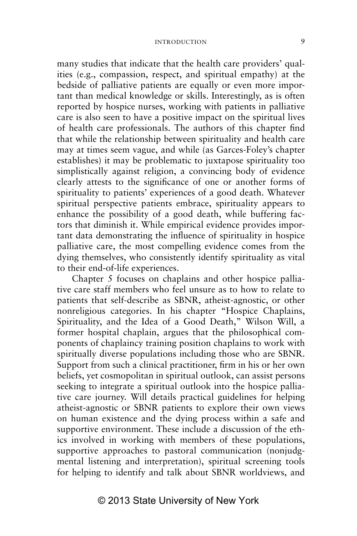many studies that indicate that the health care providers' qualities (e.g., compassion, respect, and spiritual empathy) at the bedside of palliative patients are equally or even more important than medical knowledge or skills. Interestingly, as is often reported by hospice nurses, working with patients in palliative care is also seen to have a positive impact on the spiritual lives of health care professionals. The authors of this chapter find that while the relationship between spirituality and health care may at times seem vague, and while (as Garces-Foley's chapter establishes) it may be problematic to juxtapose spirituality too simplistically against religion, a convincing body of evidence clearly attests to the significance of one or another forms of spirituality to patients' experiences of a good death. Whatever spiritual perspective patients embrace, spirituality appears to enhance the possibility of a good death, while buffering factors that diminish it. While empirical evidence provides important data demonstrating the influence of spirituality in hospice palliative care, the most compelling evidence comes from the dying themselves, who consistently identify spirituality as vital to their end-of-life experiences.

hapter 5 focuses on chaplains and other hospice palliative care staff members who feel unsure as to how to relate to patients that self-describe as SBNR, atheist-agnostic, or other nonreligious categories. In his chapter "Hospice Chaplains, Spirituality, and the Idea of a Good Death," Wilson Will, a former hospital chaplain, argues that the philosophical components of chaplaincy training position chaplains to work with spiritually diverse populations including those who are SBNR. Support from such a clinical practitioner, firm in his or her own beliefs, yet cosmopolitan in spiritual outlook, can assist persons seeking to integrate a spiritual outlook into the hospice palliative care journey. Will details practical guidelines for helping atheist-agnostic or SBNR patients to explore their own views on human existence and the dying process within a safe and supportive environment. These include a discussion of the ethics involved in working with members of these populations, supportive approaches to pastoral communication (nonjudgmental listening and interpretation), spiritual screening tools for helping to identify and talk about SBNR worldviews, and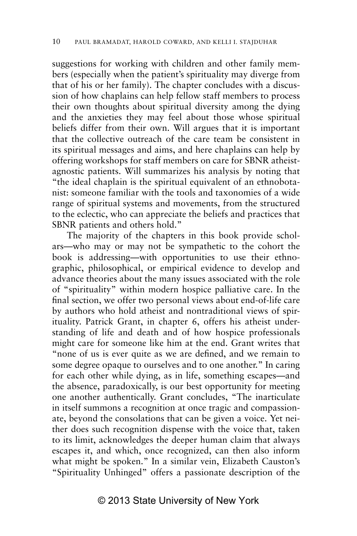suggestions for working with children and other family members (especially when the patient's spirituality may diverge from that of his or her family). The chapter concludes with a discussion of how chaplains can help fellow staff members to process their own thoughts about spiritual diversity among the dying and the anxieties they may feel about those whose spiritual beliefs differ from their own. Will argues that it is important that the collective outreach of the care team be consistent in its spiritual messages and aims, and here chaplains can help by offering workshops for staff members on care for SBNR atheistagnostic patients. Will summarizes his analysis by noting that "the ideal chaplain is the spiritual equivalent of an ethnobotanist: someone familiar with the tools and taxonomies of a wide range of spiritual systems and movements, from the structured to the eclectic, who can appreciate the beliefs and practices that SBNR patients and others hold."

The majority of the chapters in this book provide scholars—who may or may not be sympathetic to the cohort the book is addressing—with opportunities to use their ethnographic, philosophical, or empirical evidence to develop and advance theories about the many issues associated with the role of "spirituality" within modern hospice palliative care. In the final section, we offer two personal views about end-of-life care by authors who hold atheist and nontraditional views of spirituality. Patrick Grant, in chapter 6, offers his atheist understanding of life and death and of how hospice professionals might care for someone like him at the end. Grant writes that "none of us is ever quite as we are defined, and we remain to some degree opaque to ourselves and to one another." In caring for each other while dying, as in life, something escapes—and the absence, paradoxically, is our best opportunity for meeting one another authentically. Grant concludes, "The inarticulate in itself summons a recognition at once tragic and compassionate, beyond the consolations that can be given a voice. Yet neither does such recognition dispense with the voice that, taken to its limit, acknowledges the deeper human claim that always escapes it, and which, once recognized, can then also inform what might be spoken." In a similar vein, Elizabeth Causton's "Spirituality Unhinged" offers a passionate description of the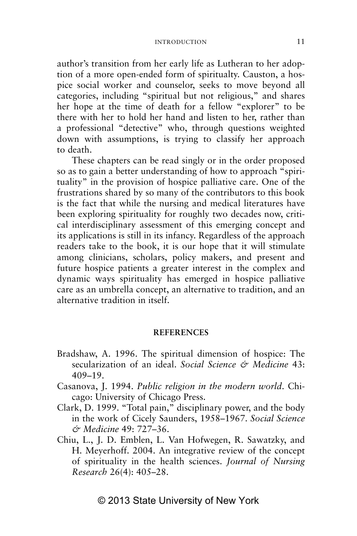#### INTRODUCTION 11

author's transition from her early life as Lutheran to her adoption of a more open-ended form of spiritualty. Causton, a hospice social worker and counselor, seeks to move beyond all categories, including "spiritual but not religious," and shares her hope at the time of death for a fellow "explorer" to be there with her to hold her hand and listen to her, rather than a professional "detective" who, through questions weighted down with assumptions, is trying to classify her approach to death.

hese chapters can be read singly or in the order proposed so as to gain a better understanding of how to approach "spirituality" in the provision of hospice palliative care. One of the frustrations shared by so many of the contributors to this book is the fact that while the nursing and medical literatures have been exploring spirituality for roughly two decades now, critical interdisciplinary assessment of this emerging concept and its applications is still in its infancy. Regardless of the approach readers take to the book, it is our hope that it will stimulate among clinicians, scholars, policy makers, and present and future hospice patients a greater interest in the complex and dynamic ways spirituality has emerged in hospice palliative care as an umbrella concept, an alternative to tradition, and an alternative tradition in itself.

### **REFERENCES**

- Bradshaw, A. 1996. The spiritual dimension of hospice: The secularization of an ideal. *Social Science & Medicine* 43: 409–19.
- Casanova, J. 1994. Public religion in the modern world. Chicago: University of Chicago Press.
- Clark, D. 1999. "Total pain," disciplinary power, and the body in the work of Cicely Saunders, 1958–1967. *Social Science & Medicine* 49: 727–36.
- Chiu, L., J. D. Emblen, L. Van Hofwegen, R. Sawatzky, and H. Meyerhoff. 2004. An integrative review of the concept of spirituality in the health sciences. *Journal of Nursing Research* 26(4): 405–28.